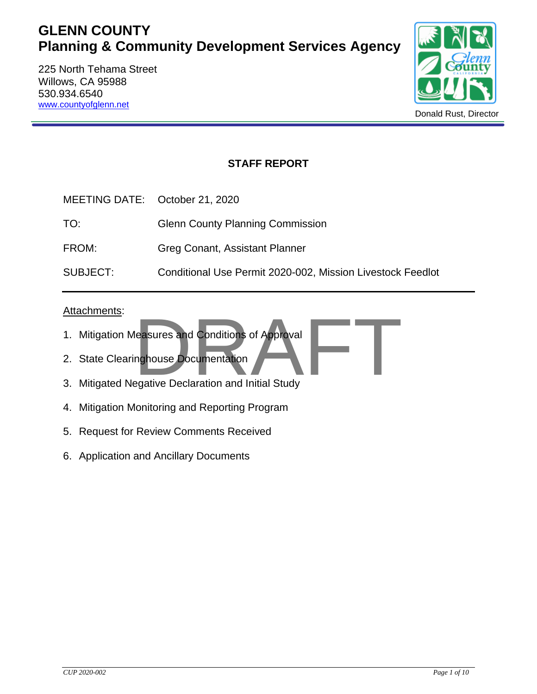# **GLENN COUNTY Planning & Community Development Services Agency**

225 North Tehama Street Willows, CA 95988 530.934.6540 www.countyofglenn.net



# **STAFF REPORT**

| MEETING DATE: October 21, 2020 |                                                            |
|--------------------------------|------------------------------------------------------------|
| TO:                            | <b>Glenn County Planning Commission</b>                    |
| FROM:                          | <b>Greg Conant, Assistant Planner</b>                      |
| SUBJECT:                       | Conditional Use Permit 2020-002, Mission Livestock Feedlot |

### Attachments:

- 1. Mitigation Measures and Conditions of Approval
- 2. State Clearinghouse Documentation
- 3. Mitigated Negative Declaration and Initial Study Easures and Conditions of Approval<br>Inghouse Documentation<br>Egative Declaration and Initial Study
- 4. Mitigation Monitoring and Reporting Program
- 5. Request for Review Comments Received
- 6. Application and Ancillary Documents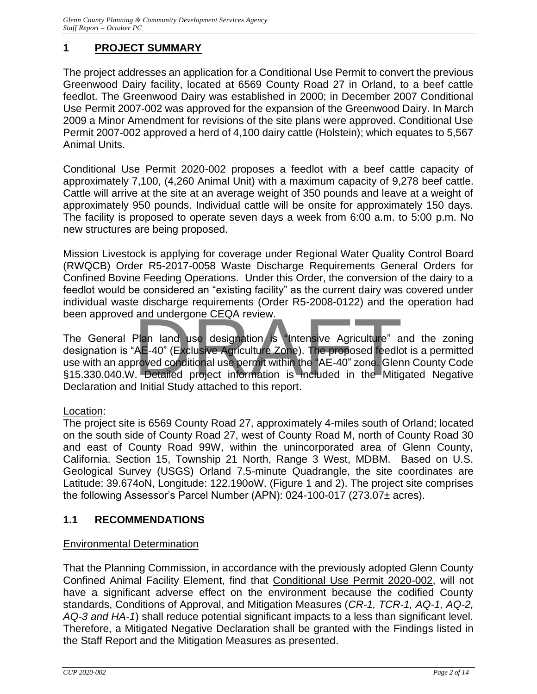# **1 PROJECT SUMMARY**

The project addresses an application for a Conditional Use Permit to convert the previous Greenwood Dairy facility, located at 6569 County Road 27 in Orland, to a beef cattle feedlot. The Greenwood Dairy was established in 2000; in December 2007 Conditional Use Permit 2007-002 was approved for the expansion of the Greenwood Dairy. In March 2009 a Minor Amendment for revisions of the site plans were approved. Conditional Use Permit 2007-002 approved a herd of 4,100 dairy cattle (Holstein); which equates to 5,567 Animal Units.

Conditional Use Permit 2020-002 proposes a feedlot with a beef cattle capacity of approximately 7,100, (4,260 Animal Unit) with a maximum capacity of 9,278 beef cattle. Cattle will arrive at the site at an average weight of 350 pounds and leave at a weight of approximately 950 pounds. Individual cattle will be onsite for approximately 150 days. The facility is proposed to operate seven days a week from 6:00 a.m. to 5:00 p.m. No new structures are being proposed.

Mission Livestock is applying for coverage under Regional Water Quality Control Board (RWQCB) Order R5-2017-0058 Waste Discharge Requirements General Orders for Confined Bovine Feeding Operations. Under this Order, the conversion of the dairy to a feedlot would be considered an "existing facility" as the current dairy was covered under individual waste discharge requirements (Order R5-2008-0122) and the operation had been approved and undergone CEQA review.

The General Plan land use designation is "Intensive Agriculture" and the zoning designation is "AE-40" (Exclusive Agriculture Zone). The proposed feedlot is a permitted use with an approved conditional use permit within the "AE-40" zone. Glenn County Code §15.330.040.W. Detailed project information is included in the Mitigated Negative Declaration and Initial Study attached to this report. and undergone CEQA review.<br>
Plan land use designation is "Intensive Agriculture" a<br>
AE-40" (Exclusive Agriculture Zone). The proposed feedic<br>
roved conditional use permit within the "AE-40" zone. Gler<br>
Detailed project inf

### Location:

The project site is 6569 County Road 27, approximately 4-miles south of Orland; located on the south side of County Road 27, west of County Road M, north of County Road 30 and east of County Road 99W, within the unincorporated area of Glenn County, California. Section 15, Township 21 North, Range 3 West, MDBM. Based on U.S. Geological Survey (USGS) Orland 7.5-minute Quadrangle, the site coordinates are Latitude: 39.674oN, Longitude: 122.190oW. (Figure 1 and 2). The project site comprises the following Assessor's Parcel Number (APN): 024-100-017 (273.07± acres).

### **1.1 RECOMMENDATIONS**

### Environmental Determination

That the Planning Commission, in accordance with the previously adopted Glenn County Confined Animal Facility Element, find that Conditional Use Permit 2020-002, will not have a significant adverse effect on the environment because the codified County standards, Conditions of Approval, and Mitigation Measures (*CR-1, TCR-1, AQ-1, AQ-2, AQ-3 and HA-1*) shall reduce potential significant impacts to a less than significant level. Therefore, a Mitigated Negative Declaration shall be granted with the Findings listed in the Staff Report and the Mitigation Measures as presented.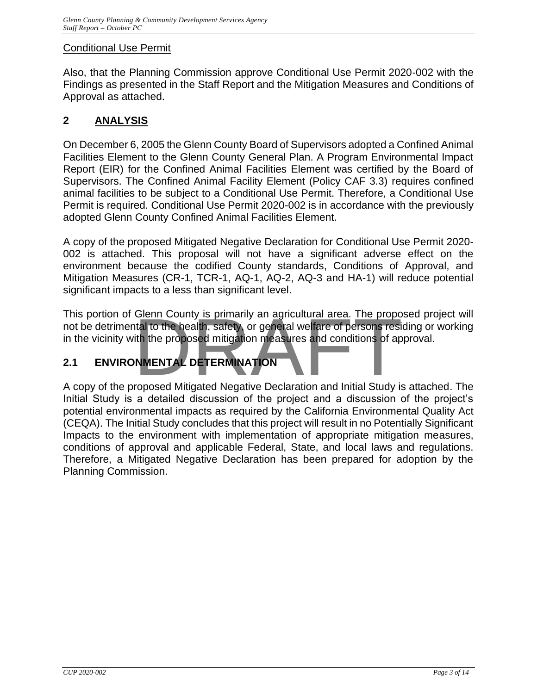## Conditional Use Permit

Also, that the Planning Commission approve Conditional Use Permit 2020-002 with the Findings as presented in the Staff Report and the Mitigation Measures and Conditions of Approval as attached.

# **2 ANALYSIS**

On December 6, 2005 the Glenn County Board of Supervisors adopted a Confined Animal Facilities Element to the Glenn County General Plan. A Program Environmental Impact Report (EIR) for the Confined Animal Facilities Element was certified by the Board of Supervisors. The Confined Animal Facility Element (Policy CAF 3.3) requires confined animal facilities to be subject to a Conditional Use Permit. Therefore, a Conditional Use Permit is required. Conditional Use Permit 2020-002 is in accordance with the previously adopted Glenn County Confined Animal Facilities Element.

A copy of the proposed Mitigated Negative Declaration for Conditional Use Permit 2020- 002 is attached. This proposal will not have a significant adverse effect on the environment because the codified County standards, Conditions of Approval, and Mitigation Measures (CR-1, TCR-1, AQ-1, AQ-2, AQ-3 and HA-1) will reduce potential significant impacts to a less than significant level.

This portion of Glenn County is primarily an agricultural area. The proposed project will not be detrimental to the health, safety, or general welfare of persons residing or working in the vicinity with the proposed mitigation measures and conditions of approval. Glenn County is primarily an agricultural area. The proportal to the health, safety, or general welfare of persons resition the proposed mitigation measures and conditions of ap<br> **NMENTAL DETERMINATION**<br>
Transfer and Initi

# **2.1 ENVIRONMENTAL DETERMINATION**

A copy of the proposed Mitigated Negative Declaration and Initial Study is attached. The Initial Study is a detailed discussion of the project and a discussion of the project's potential environmental impacts as required by the California Environmental Quality Act (CEQA). The Initial Study concludes that this project will result in no Potentially Significant Impacts to the environment with implementation of appropriate mitigation measures, conditions of approval and applicable Federal, State, and local laws and regulations. Therefore, a Mitigated Negative Declaration has been prepared for adoption by the Planning Commission.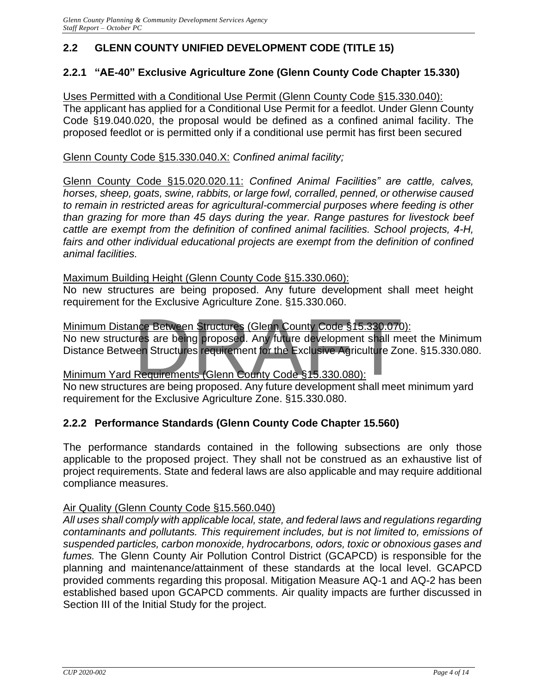# **2.2 GLENN COUNTY UNIFIED DEVELOPMENT CODE (TITLE 15)**

### **2.2.1 "AE-40" Exclusive Agriculture Zone (Glenn County Code Chapter 15.330)**

Uses Permitted with a Conditional Use Permit (Glenn County Code §15.330.040): The applicant has applied for a Conditional Use Permit for a feedlot. Under Glenn County Code §19.040.020, the proposal would be defined as a confined animal facility. The proposed feedlot or is permitted only if a conditional use permit has first been secured

Glenn County Code §15.330.040.X: *Confined animal facility;*

Glenn County Code §15.020.020.11: *Confined Animal Facilities" are cattle, calves, horses, sheep, goats, swine, rabbits, or large fowl, corralled, penned, or otherwise caused to remain in restricted areas for agricultural-commercial purposes where feeding is other than grazing for more than 45 days during the year. Range pastures for livestock beef cattle are exempt from the definition of confined animal facilities. School projects, 4-H,*  fairs and other individual educational projects are exempt from the definition of confined *animal facilities.*

Maximum Building Height (Glenn County Code §15.330.060):

No new structures are being proposed. Any future development shall meet height requirement for the Exclusive Agriculture Zone. §15.330.060.

### Minimum Distance Between Structures (Glenn County Code §15.330.070):

No new structures are being proposed. Any future development shall meet the Minimum Distance Between Structures requirement for the Exclusive Agriculture Zone. §15.330.080. nce Between Structures (Glenn County Code §15.330.070<br>res are being proposed. Any future development shall m<br>en Structures requirement for the Exclusive Agriculture Zo<br>Requirements (Glenn County Code §15.330.080):<br>res are

### Minimum Yard Requirements (Glenn County Code §15.330.080):

No new structures are being proposed. Any future development shall meet minimum yard requirement for the Exclusive Agriculture Zone. §15.330.080.

### **2.2.2 Performance Standards (Glenn County Code Chapter 15.560)**

The performance standards contained in the following subsections are only those applicable to the proposed project. They shall not be construed as an exhaustive list of project requirements. State and federal laws are also applicable and may require additional compliance measures.

### Air Quality (Glenn County Code §15.560.040)

*All uses shall comply with applicable local, state, and federal laws and regulations regarding contaminants and pollutants. This requirement includes, but is not limited to, emissions of suspended particles, carbon monoxide, hydrocarbons, odors, toxic or obnoxious gases and fumes.* The Glenn County Air Pollution Control District (GCAPCD) is responsible for the planning and maintenance/attainment of these standards at the local level. GCAPCD provided comments regarding this proposal. Mitigation Measure AQ-1 and AQ-2 has been established based upon GCAPCD comments. Air quality impacts are further discussed in Section III of the Initial Study for the project.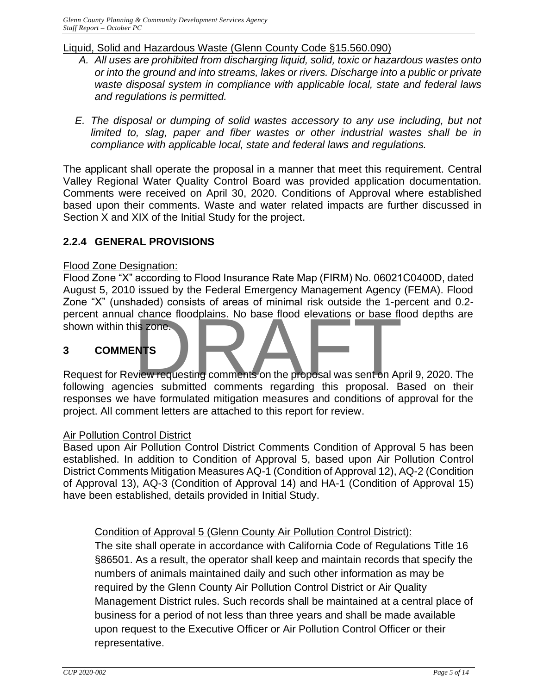### Liquid, Solid and Hazardous Waste (Glenn County Code §15.560.090)

- *A. All uses are prohibited from discharging liquid, solid, toxic or hazardous wastes onto or into the ground and into streams, lakes or rivers. Discharge into a public or private waste disposal system in compliance with applicable local, state and federal laws and regulations is permitted.*
- *E. The disposal or dumping of solid wastes accessory to any use including, but not*  limited to, slag, paper and fiber wastes or other industrial wastes shall be in *compliance with applicable local, state and federal laws and regulations.*

The applicant shall operate the proposal in a manner that meet this requirement. Central Valley Regional Water Quality Control Board was provided application documentation. Comments were received on April 30, 2020. Conditions of Approval where established based upon their comments. Waste and water related impacts are further discussed in Section X and XIX of the Initial Study for the project.

# **2.2.4 GENERAL PROVISIONS**

### Flood Zone Designation:

Flood Zone "X" according to Flood Insurance Rate Map (FIRM) No. 06021C0400D, dated August 5, 2010 issued by the Federal Emergency Management Agency (FEMA). Flood Zone "X" (unshaded) consists of areas of minimal risk outside the 1-percent and 0.2 percent annual chance floodplains. No base flood elevations or base flood depths are shown within this zone.

### **3 COMMENTS**

Request for Review requesting comments on the proposal was sent on April 9, 2020. The following agencies submitted comments regarding this proposal. Based on their responses we have formulated mitigation measures and conditions of approval for the project. All comment letters are attached to this report for review. chance floodplains. No base flood elevations or base flood<br>is zone.<br>NTS<br>view requesting comments on the proposal was sent on Ap<br>cies submitted comments regarding this proposal. B

### Air Pollution Control District

Based upon Air Pollution Control District Comments Condition of Approval 5 has been established. In addition to Condition of Approval 5, based upon Air Pollution Control District Comments Mitigation Measures AQ-1 (Condition of Approval 12), AQ-2 (Condition of Approval 13), AQ-3 (Condition of Approval 14) and HA-1 (Condition of Approval 15) have been established, details provided in Initial Study.

### Condition of Approval 5 (Glenn County Air Pollution Control District):

The site shall operate in accordance with California Code of Regulations Title 16 §86501. As a result, the operator shall keep and maintain records that specify the numbers of animals maintained daily and such other information as may be required by the Glenn County Air Pollution Control District or Air Quality Management District rules. Such records shall be maintained at a central place of business for a period of not less than three years and shall be made available upon request to the Executive Officer or Air Pollution Control Officer or their representative.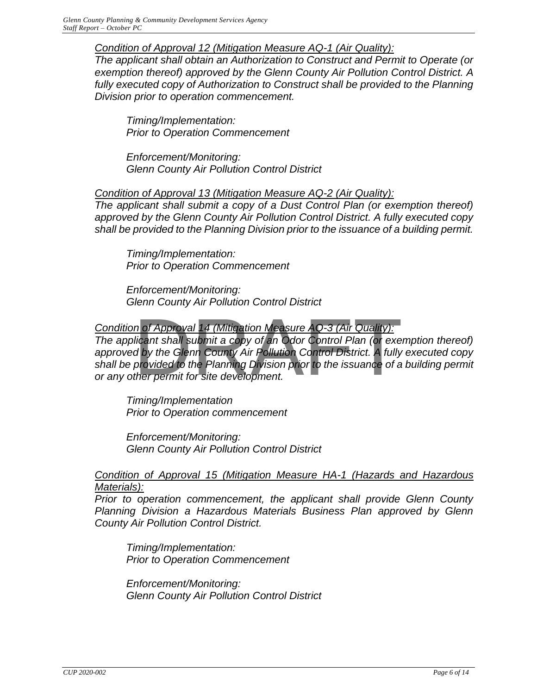### *Condition of Approval 12 (Mitigation Measure AQ-1 (Air Quality):*

*The applicant shall obtain an Authorization to Construct and Permit to Operate (or exemption thereof) approved by the Glenn County Air Pollution Control District. A*  fully executed copy of Authorization to Construct shall be provided to the Planning *Division prior to operation commencement.*

*Timing/Implementation: Prior to Operation Commencement*

*Enforcement/Monitoring: Glenn County Air Pollution Control District*

*Condition of Approval 13 (Mitigation Measure AQ-2 (Air Quality):* 

*The applicant shall submit a copy of a Dust Control Plan (or exemption thereof) approved by the Glenn County Air Pollution Control District. A fully executed copy shall be provided to the Planning Division prior to the issuance of a building permit.*

*Timing/Implementation: Prior to Operation Commencement*

*Enforcement/Monitoring: Glenn County Air Pollution Control District*

# *Condition of Approval 14 (Mitigation Measure AQ-3 (Air Quality):*

*The applicant shall submit a copy of an Odor Control Plan (or exemption thereof) approved by the Glenn County Air Pollution Control District. A fully executed copy shall be provided to the Planning Division prior to the issuance of a building permit or any other permit for site development.* n of Approval 14 (Mitigation Measure AQ-3 (Air Quality):<br>licant shall submit a copy of an Odor Control Plan (or exe<br>d by the Glenn County Air Pollution Control District. A fully<br>provided to the Planning Division prior to t

*Timing/Implementation Prior to Operation commencement*

*Enforcement/Monitoring: Glenn County Air Pollution Control District*

*Condition of Approval 15 (Mitigation Measure HA-1 (Hazards and Hazardous Materials):*

*Prior to operation commencement, the applicant shall provide Glenn County Planning Division a Hazardous Materials Business Plan approved by Glenn County Air Pollution Control District.*

*Timing/Implementation: Prior to Operation Commencement*

*Enforcement/Monitoring: Glenn County Air Pollution Control District*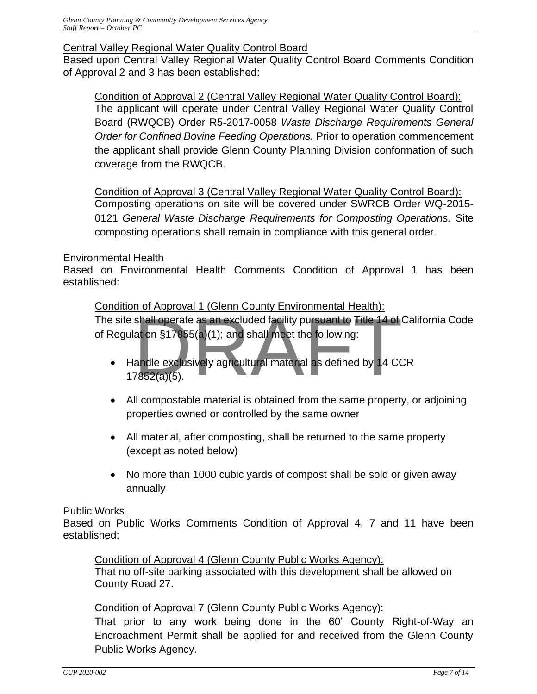### Central Valley Regional Water Quality Control Board

Based upon Central Valley Regional Water Quality Control Board Comments Condition of Approval 2 and 3 has been established:

# Condition of Approval 2 (Central Valley Regional Water Quality Control Board): The applicant will operate under Central Valley Regional Water Quality Control Board (RWQCB) Order R5-2017-0058 *Waste Discharge Requirements General Order for Confined Bovine Feeding Operations.* Prior to operation commencement the applicant shall provide Glenn County Planning Division conformation of such coverage from the RWQCB.

Condition of Approval 3 (Central Valley Regional Water Quality Control Board): Composting operations on site will be covered under SWRCB Order WQ-2015- 0121 *General Waste Discharge Requirements for Composting Operations.* Site composting operations shall remain in compliance with this general order.

### Environmental Health

Based on Environmental Health Comments Condition of Approval 1 has been established:

Condition of Approval 1 (Glenn County Environmental Health):

The site shall operate as an excluded facility pursuant to Title 14 of California Code<br>of Regulation §17855(a)(1); and shall meet the following:<br>• Handle exclusively agricultural material as defined by 14 CCR<br>17852(a)(5). of Regulation §17855(a)(1); and shall meet the following:

- Handle exclusively agricultural material as defined by 14 CCR 17852(a)(5).
- All compostable material is obtained from the same property, or adjoining properties owned or controlled by the same owner
- All material, after composting, shall be returned to the same property (except as noted below)
- No more than 1000 cubic yards of compost shall be sold or given away annually

### Public Works

Based on Public Works Comments Condition of Approval 4, 7 and 11 have been established:

Condition of Approval 4 (Glenn County Public Works Agency): That no off-site parking associated with this development shall be allowed on County Road 27.

### Condition of Approval 7 (Glenn County Public Works Agency):

That prior to any work being done in the 60' County Right-of-Way an Encroachment Permit shall be applied for and received from the Glenn County Public Works Agency.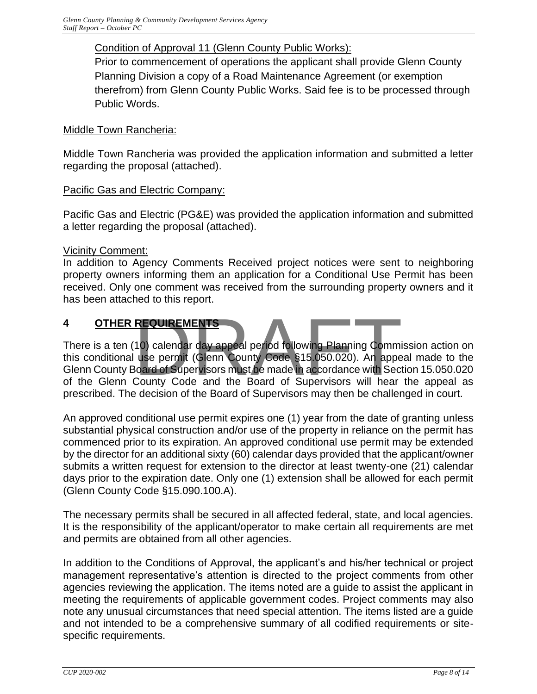### Condition of Approval 11 (Glenn County Public Works):

Prior to commencement of operations the applicant shall provide Glenn County Planning Division a copy of a Road Maintenance Agreement (or exemption therefrom) from Glenn County Public Works. Said fee is to be processed through Public Words.

### Middle Town Rancheria:

Middle Town Rancheria was provided the application information and submitted a letter regarding the proposal (attached).

### Pacific Gas and Electric Company:

Pacific Gas and Electric (PG&E) was provided the application information and submitted a letter regarding the proposal (attached).

### Vicinity Comment:

In addition to Agency Comments Received project notices were sent to neighboring property owners informing them an application for a Conditional Use Permit has been received. Only one comment was received from the surrounding property owners and it has been attached to this report.

### **4 OTHER REQUIREMENTS**

There is a ten (10) calendar day appeal period following Planning Commission action on this conditional use permit (Glenn County Code §15.050.020). An appeal made to the Glenn County Board of Supervisors must be made in accordance with Section 15.050.020 of the Glenn County Code and the Board of Supervisors will hear the appeal as prescribed. The decision of the Board of Supervisors may then be challenged in court. REQUIREMENTS<br>10) calendar day appeal period following Planning Commi<br>use permit (Glenn County Code §15.050.020). An appe<br>loard of Supervisors must be made in accordance with Sec<br>County Code and the Board of Supervisors wil

An approved conditional use permit expires one (1) year from the date of granting unless substantial physical construction and/or use of the property in reliance on the permit has commenced prior to its expiration. An approved conditional use permit may be extended by the director for an additional sixty (60) calendar days provided that the applicant/owner submits a written request for extension to the director at least twenty-one (21) calendar days prior to the expiration date. Only one (1) extension shall be allowed for each permit (Glenn County Code §15.090.100.A).

The necessary permits shall be secured in all affected federal, state, and local agencies. It is the responsibility of the applicant/operator to make certain all requirements are met and permits are obtained from all other agencies.

In addition to the Conditions of Approval, the applicant's and his/her technical or project management representative's attention is directed to the project comments from other agencies reviewing the application. The items noted are a guide to assist the applicant in meeting the requirements of applicable government codes. Project comments may also note any unusual circumstances that need special attention. The items listed are a guide and not intended to be a comprehensive summary of all codified requirements or sitespecific requirements.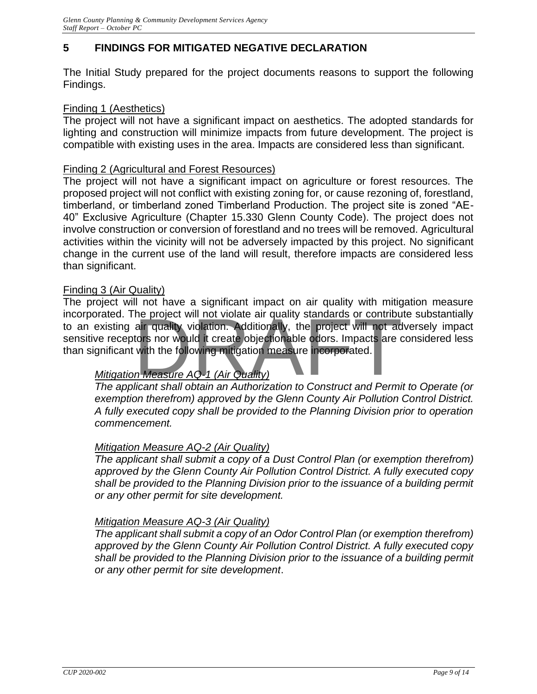# **5 FINDINGS FOR MITIGATED NEGATIVE DECLARATION**

The Initial Study prepared for the project documents reasons to support the following Findings.

### Finding 1 (Aesthetics)

The project will not have a significant impact on aesthetics. The adopted standards for lighting and construction will minimize impacts from future development. The project is compatible with existing uses in the area. Impacts are considered less than significant.

### Finding 2 (Agricultural and Forest Resources)

The project will not have a significant impact on agriculture or forest resources. The proposed project will not conflict with existing zoning for, or cause rezoning of, forestland, timberland, or timberland zoned Timberland Production. The project site is zoned "AE-40" Exclusive Agriculture (Chapter 15.330 Glenn County Code). The project does not involve construction or conversion of forestland and no trees will be removed. Agricultural activities within the vicinity will not be adversely impacted by this project. No significant change in the current use of the land will result, therefore impacts are considered less than significant.

### Finding 3 (Air Quality)

The project will not have a significant impact on air quality with mitigation measure incorporated. The project will not violate air quality standards or contribute substantially to an existing air quality violation. Additionally, the project will not adversely impact sensitive receptors nor would it create objectionable odors. Impacts are considered less than significant with the following mitigation measure incorporated. he project will not violate air quality standards or contribu<br>air quality violation. Additionally, the project will not ad<br>tors nor would it create objectionable odors. Impacts are of<br>with the following mitigation measure

### *Mitigation Measure AQ-1 (Air Quality)*

*The applicant shall obtain an Authorization to Construct and Permit to Operate (or exemption therefrom) approved by the Glenn County Air Pollution Control District. A fully executed copy shall be provided to the Planning Division prior to operation commencement.*

### *Mitigation Measure AQ-2 (Air Quality)*

*The applicant shall submit a copy of a Dust Control Plan (or exemption therefrom) approved by the Glenn County Air Pollution Control District. A fully executed copy shall be provided to the Planning Division prior to the issuance of a building permit or any other permit for site development.*

### *Mitigation Measure AQ-3 (Air Quality)*

*The applicant shall submit a copy of an Odor Control Plan (or exemption therefrom) approved by the Glenn County Air Pollution Control District. A fully executed copy shall be provided to the Planning Division prior to the issuance of a building permit or any other permit for site development*.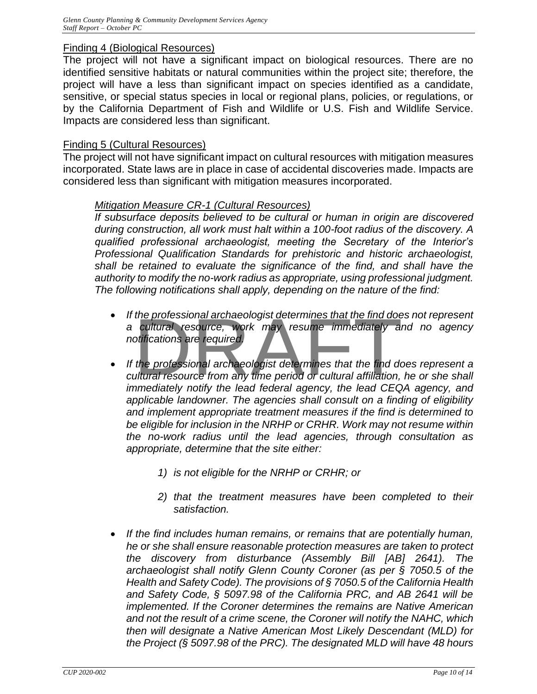### Finding 4 (Biological Resources)

The project will not have a significant impact on biological resources. There are no identified sensitive habitats or natural communities within the project site; therefore, the project will have a less than significant impact on species identified as a candidate, sensitive, or special status species in local or regional plans, policies, or regulations, or by the California Department of Fish and Wildlife or U.S. Fish and Wildlife Service. Impacts are considered less than significant.

### Finding 5 (Cultural Resources)

The project will not have significant impact on cultural resources with mitigation measures incorporated. State laws are in place in case of accidental discoveries made. Impacts are considered less than significant with mitigation measures incorporated.

### *Mitigation Measure CR-1 (Cultural Resources)*

*If subsurface deposits believed to be cultural or human in origin are discovered during construction, all work must halt within a 100-foot radius of the discovery. A qualified professional archaeologist, meeting the Secretary of the Interior's Professional Qualification Standards for prehistoric and historic archaeologist, shall be retained to evaluate the significance of the find, and shall have the authority to modify the no-work radius as appropriate, using professional judgment. The following notifications shall apply, depending on the nature of the find:* 

- *If the professional archaeologist determines that the find does not represent a cultural resource, work may resume immediately and no agency notifications are required.* the professional archaeologist determines that the find doe<br>
cultural resource, work may resume immediately and<br>
ptifications are required.<br>
the professional archaeologist determines that the find doultural resource from a
- *If the professional archaeologist determines that the find does represent a cultural resource from any time period or cultural affiliation, he or she shall immediately notify the lead federal agency, the lead CEQA agency, and applicable landowner. The agencies shall consult on a finding of eligibility and implement appropriate treatment measures if the find is determined to be eligible for inclusion in the NRHP or CRHR. Work may not resume within the no-work radius until the lead agencies, through consultation as appropriate, determine that the site either:* 
	- *1) is not eligible for the NRHP or CRHR; or*
	- *2) that the treatment measures have been completed to their satisfaction.*
- *If the find includes human remains, or remains that are potentially human, he or she shall ensure reasonable protection measures are taken to protect the discovery from disturbance (Assembly Bill [AB] 2641). The archaeologist shall notify Glenn County Coroner (as per § 7050.5 of the Health and Safety Code). The provisions of § 7050.5 of the California Health and Safety Code, § 5097.98 of the California PRC, and AB 2641 will be implemented. If the Coroner determines the remains are Native American and not the result of a crime scene, the Coroner will notify the NAHC, which then will designate a Native American Most Likely Descendant (MLD) for the Project (§ 5097.98 of the PRC). The designated MLD will have 48 hours*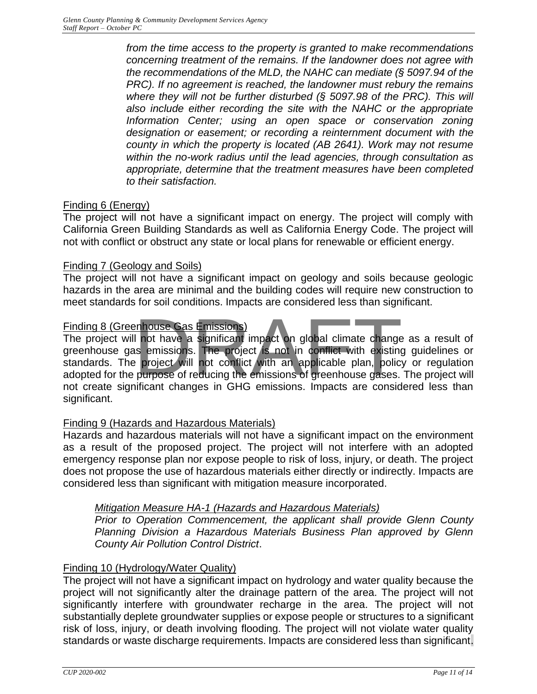*from the time access to the property is granted to make recommendations concerning treatment of the remains. If the landowner does not agree with the recommendations of the MLD, the NAHC can mediate (§ 5097.94 of the PRC). If no agreement is reached, the landowner must rebury the remains where they will not be further disturbed (§ 5097.98 of the PRC). This will also include either recording the site with the NAHC or the appropriate Information Center; using an open space or conservation zoning designation or easement; or recording a reinternment document with the county in which the property is located (AB 2641). Work may not resume within the no-work radius until the lead agencies, through consultation as appropriate, determine that the treatment measures have been completed to their satisfaction.*

### Finding 6 (Energy)

The project will not have a significant impact on energy. The project will comply with California Green Building Standards as well as California Energy Code. The project will not with conflict or obstruct any state or local plans for renewable or efficient energy.

### Finding 7 (Geology and Soils)

The project will not have a significant impact on geology and soils because geologic hazards in the area are minimal and the building codes will require new construction to meet standards for soil conditions. Impacts are considered less than significant.

### Finding 8 (Greenhouse Gas Emissions)

The project will not have a significant impact on global climate change as a result of greenhouse gas emissions. The project is not in conflict with existing guidelines or standards. The project will not conflict with an applicable plan, policy or regulation adopted for the purpose of reducing the emissions of greenhouse gases. The project will not create significant changes in GHG emissions. Impacts are considered less than significant. Provide Cas Emissions<br>
I not have a significant impact on global climate change<br>
Is emissions. The project is not in conflict with existing<br>
Project will not conflict with an applicable plan, policy<br>
purpose of reducing th

### Finding 9 (Hazards and Hazardous Materials)

Hazards and hazardous materials will not have a significant impact on the environment as a result of the proposed project. The project will not interfere with an adopted emergency response plan nor expose people to risk of loss, injury, or death. The project does not propose the use of hazardous materials either directly or indirectly. Impacts are considered less than significant with mitigation measure incorporated.

### *Mitigation Measure HA-1 (Hazards and Hazardous Materials)*

*Prior to Operation Commencement, the applicant shall provide Glenn County Planning Division a Hazardous Materials Business Plan approved by Glenn County Air Pollution Control District*.

### Finding 10 (Hydrology/Water Quality)

The project will not have a significant impact on hydrology and water quality because the project will not significantly alter the drainage pattern of the area. The project will not significantly interfere with groundwater recharge in the area. The project will not substantially deplete groundwater supplies or expose people or structures to a significant risk of loss, injury, or death involving flooding. The project will not violate water quality standards or waste discharge requirements. Impacts are considered less than significant.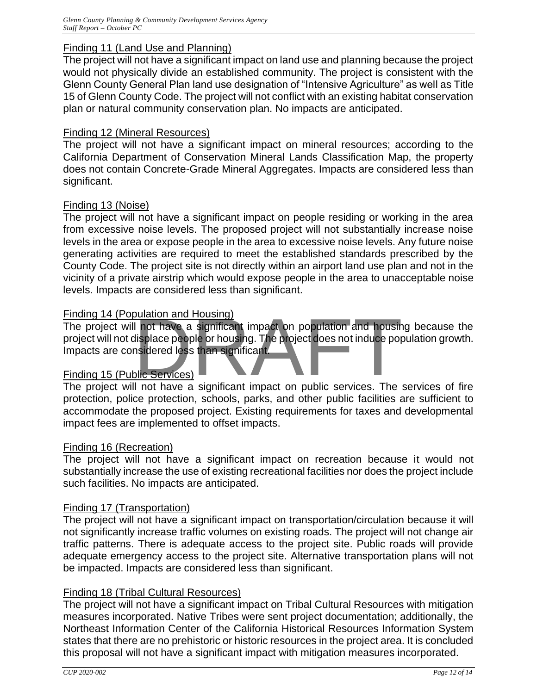### Finding 11 (Land Use and Planning)

The project will not have a significant impact on land use and planning because the project would not physically divide an established community. The project is consistent with the Glenn County General Plan land use designation of "Intensive Agriculture" as well as Title 15 of Glenn County Code. The project will not conflict with an existing habitat conservation plan or natural community conservation plan. No impacts are anticipated.

### Finding 12 (Mineral Resources)

The project will not have a significant impact on mineral resources; according to the California Department of Conservation Mineral Lands Classification Map, the property does not contain Concrete-Grade Mineral Aggregates. Impacts are considered less than significant.

### Finding 13 (Noise)

The project will not have a significant impact on people residing or working in the area from excessive noise levels. The proposed project will not substantially increase noise levels in the area or expose people in the area to excessive noise levels. Any future noise generating activities are required to meet the established standards prescribed by the County Code. The project site is not directly within an airport land use plan and not in the vicinity of a private airstrip which would expose people in the area to unacceptable noise levels. Impacts are considered less than significant.

### Finding 14 (Population and Housing)

The project will not have a significant impact on population and housing because the project will not displace people or housing. The project does not induce population growth. Impacts are considered less than significant. Dulation and Housing)<br>
I not have a significant impact on population and housin<br>
displace people or housing. The project does not induce population<br>
sidered less than significant.<br>
Dic Services)<br>
I not have a significant i

### Finding 15 (Public Services)

The project will not have a significant impact on public services. The services of fire protection, police protection, schools, parks, and other public facilities are sufficient to accommodate the proposed project. Existing requirements for taxes and developmental impact fees are implemented to offset impacts.

### Finding 16 (Recreation)

The project will not have a significant impact on recreation because it would not substantially increase the use of existing recreational facilities nor does the project include such facilities. No impacts are anticipated.

### Finding 17 (Transportation)

The project will not have a significant impact on transportation/circulation because it will not significantly increase traffic volumes on existing roads. The project will not change air traffic patterns. There is adequate access to the project site. Public roads will provide adequate emergency access to the project site. Alternative transportation plans will not be impacted. Impacts are considered less than significant.

### Finding 18 (Tribal Cultural Resources)

The project will not have a significant impact on Tribal Cultural Resources with mitigation measures incorporated. Native Tribes were sent project documentation; additionally, the Northeast Information Center of the California Historical Resources Information System states that there are no prehistoric or historic resources in the project area. It is concluded this proposal will not have a significant impact with mitigation measures incorporated.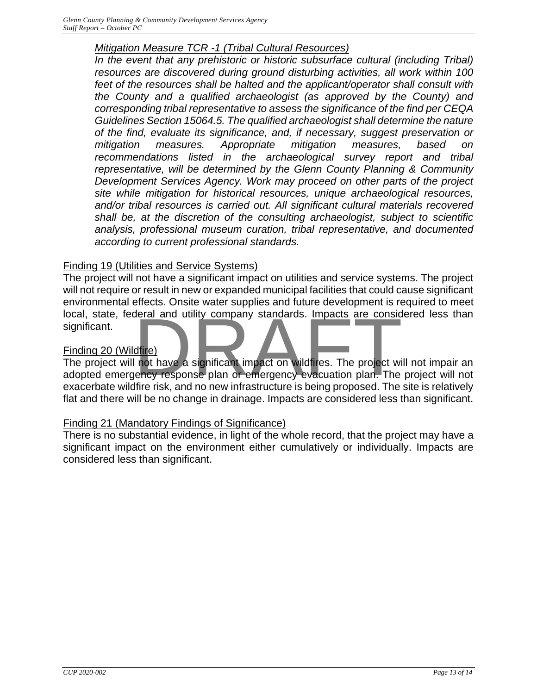### *Mitigation Measure TCR -1 (Tribal Cultural Resources)*

In the event that any prehistoric or historic subsurface cultural (including Tribal) *resources are discovered during ground disturbing activities, all work within 100 feet of the resources shall be halted and the applicant/operator shall consult with the County and a qualified archaeologist (as approved by the County) and corresponding tribal representative to assess the significance of the find per CEQA Guidelines Section 15064.5. The qualified archaeologist shall determine the nature of the find, evaluate its significance, and, if necessary, suggest preservation or mitigation measures. Appropriate mitigation measures, based on recommendations listed in the archaeological survey report and tribal representative, will be determined by the Glenn County Planning & Community Development Services Agency. Work may proceed on other parts of the project site while mitigation for historical resources, unique archaeological resources, and/or tribal resources is carried out. All significant cultural materials recovered shall be, at the discretion of the consulting archaeologist, subject to scientific analysis, professional museum curation, tribal representative, and documented according to current professional standards.*

### Finding 19 (Utilities and Service Systems)

The project will not have a significant impact on utilities and service systems. The project will not require or result in new or expanded municipal facilities that could cause significant environmental effects. Onsite water supplies and future development is required to meet local, state, federal and utility company standards. Impacts are considered less than significant.

### Finding 20 (Wildfire)

The project will not have a significant impact on wildfires. The project will not impair an adopted emergency response plan or emergency evacuation plan. The project will not exacerbate wildfire risk, and no new infrastructure is being proposed. The site is relatively flat and there will be no change in drainage. Impacts are considered less than significant. deral and utility company standards. Impacts are considered<br>
In thave a significant impact on wildfires. The project wi<br>
The project with the risk, and no new infrastructure is being proposed. The

### Finding 21 (Mandatory Findings of Significance)

There is no substantial evidence, in light of the whole record, that the project may have a significant impact on the environment either cumulatively or individually. Impacts are considered less than significant.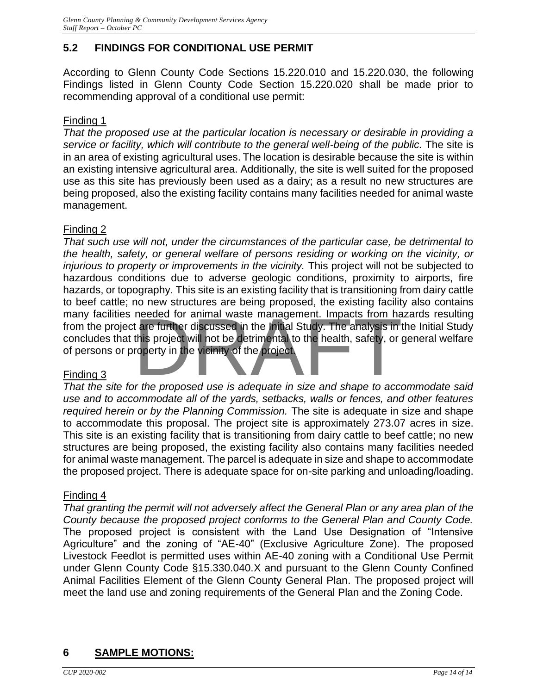# **5.2 FINDINGS FOR CONDITIONAL USE PERMIT**

According to Glenn County Code Sections 15.220.010 and 15.220.030, the following Findings listed in Glenn County Code Section 15.220.020 shall be made prior to recommending approval of a conditional use permit:

### Finding 1

*That the proposed use at the particular location is necessary or desirable in providing a service or facility, which will contribute to the general well-being of the public.* The site is in an area of existing agricultural uses. The location is desirable because the site is within an existing intensive agricultural area. Additionally, the site is well suited for the proposed use as this site has previously been used as a dairy; as a result no new structures are being proposed, also the existing facility contains many facilities needed for animal waste management.

### Finding 2

*That such use will not, under the circumstances of the particular case, be detrimental to the health, safety, or general welfare of persons residing or working on the vicinity, or injurious to property or improvements in the vicinity.* This project will not be subjected to hazardous conditions due to adverse geologic conditions, proximity to airports, fire hazards, or topography. This site is an existing facility that is transitioning from dairy cattle to beef cattle; no new structures are being proposed, the existing facility also contains many facilities needed for animal waste management. Impacts from hazards resulting from the project are further discussed in the Initial Study. The analysis in the Initial Study concludes that this project will not be detrimental to the health, safety, or general welfare of persons or property in the vicinity of the project. needed for animal waste management. Impacts from hat are further discussed in the Initial Study. The analysis in this project will not be detrimental to the health, safety, or expectly in the vicinity of the project.

### Finding 3

*That the site for the proposed use is adequate in size and shape to accommodate said use and to accommodate all of the yards, setbacks, walls or fences, and other features required herein or by the Planning Commission.* The site is adequate in size and shape to accommodate this proposal. The project site is approximately 273.07 acres in size. This site is an existing facility that is transitioning from dairy cattle to beef cattle; no new structures are being proposed, the existing facility also contains many facilities needed for animal waste management. The parcel is adequate in size and shape to accommodate the proposed project. There is adequate space for on-site parking and unloading/loading.

### Finding 4

*That granting the permit will not adversely affect the General Plan or any area plan of the County because the proposed project conforms to the General Plan and County Code.* The proposed project is consistent with the Land Use Designation of "Intensive Agriculture" and the zoning of "AE-40" (Exclusive Agriculture Zone). The proposed Livestock Feedlot is permitted uses within AE-40 zoning with a Conditional Use Permit under Glenn County Code §15.330.040.X and pursuant to the Glenn County Confined Animal Facilities Element of the Glenn County General Plan. The proposed project will meet the land use and zoning requirements of the General Plan and the Zoning Code.

# **6 SAMPLE MOTIONS:**